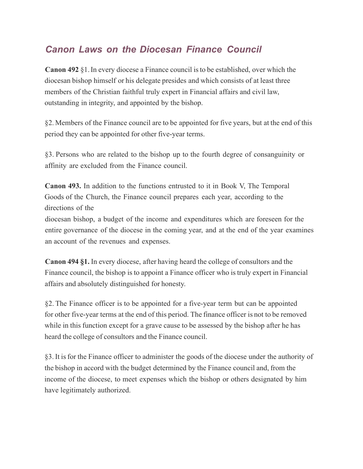## *Canon Laws on the Diocesan Finance Council*

**Canon 492** §1.In every diocese a Finance council isto be established, over which the diocesan bishop himself or his delegate presides and which consists of at least three members of the Christian faithful truly expert in Financial affairs and civil law, outstanding in integrity, and appointed by the bishop.

§2. Members of the Finance council are to be appointed for five years, but at the end of this period they can be appointed for other five-year terms.

§3. Persons who are related to the bishop up to the fourth degree of consanguinity or affinity are excluded from the Finance council.

**Canon 493.** In addition to the functions entrusted to it in Book V, The Temporal Goods of the Church, the Finance council prepares each year, according to the directions of the

diocesan bishop, a budget of the income and expenditures which are foreseen for the entire governance of the diocese in the coming year, and at the end of the year examines an account of the revenues and expenses.

**Canon 494 §1.** In every diocese, after having heard the college of consultors and the Finance council, the bishop is to appoint a Finance officer who istruly expert in Financial affairs and absolutely distinguished for honesty.

§2. The Finance officer is to be appointed for a five-year term but can be appointed for other five-year terms at the end of this period. The finance officer is not to be removed while in this function except for a grave cause to be assessed by the bishop after he has heard the college of consultors and the Finance council.

§3.It isfor the Finance officer to administer the goods of the diocese under the authority of the bishop in accord with the budget determined by the Finance council and, from the income of the diocese, to meet expenses which the bishop or others designated by him have legitimately authorized.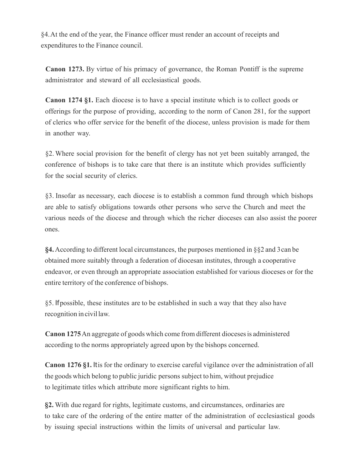§4.At the end of the year, the Finance officer must render an account of receipts and expenditures to the Finance council.

**Canon 1273.** By virtue of his primacy of governance, the Roman Pontiff is the supreme administrator and steward of all ecclesiastical goods.

**Canon 1274 §1.** Each diocese is to have a special institute which is to collect goods or offerings for the purpose of providing, according to the norm of Canon 281, for the support of clerics who offer service for the benefit of the diocese, unless provision is made for them in another way.

§2. Where social provision for the benefit of clergy has not yet been suitably arranged, the conference of bishops is to take care that there is an institute which provides sufficiently for the social security of clerics.

§3. Insofar as necessary, each diocese is to establish a common fund through which bishops are able to satisfy obligations towards other persons who serve the Church and meet the various needs of the diocese and through which the richer dioceses can also assist the poorer ones.

**§4.**According to different local circumstances, the purposes mentioned in §§2 and 3can be obtained more suitably through a federation of diocesan institutes, through a cooperative endeavor, or even through an appropriate association established for various dioceses or for the entire territory of the conference of bishops.

§5. Ifpossible, these institutes are to be established in such a way that they also have recognition incivillaw.

**Canon 1275**An aggregate of goods which come from different diocesesis administered according to the norms appropriately agreed upon by the bishops concerned.

**Canon 1276 §1.** Itis for the ordinary to exercise careful vigilance over the administration of all the goods which belong to public juridic persons subject to him, without prejudice to legitimate titles which attribute more significant rights to him.

**§2.** With due regard for rights, legitimate customs, and circumstances, ordinaries are to take care of the ordering of the entire matter of the administration of ecclesiastical goods by issuing special instructions within the limits of universal and particular law.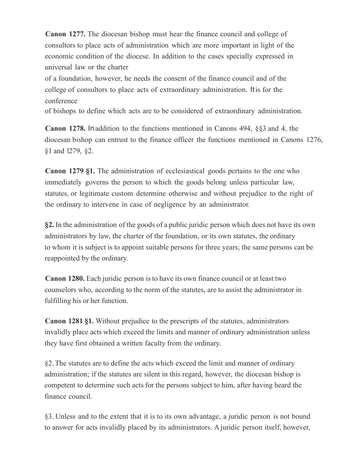**Canon 1277.** The diocesan bishop must hear the finance council and college of consultors to place acts of administration which are more important in light of the economic condition of the diocese. In addition to the cases specially expressed in universal law or the charter

of a foundation, however, he needs the consent of the finance council and of the college of consultors to place acts of extraordinary administration. Itis for the conference

of bishops to define which acts are to be considered of extraordinary administration.

**Canon 1278.** Inaddition to the functions mentioned in Canons 494, §§3 and 4, the diocesan bishop can entrust to the finance officer the functions mentioned in Canons 1276, §1 and 1279, §2.

**Canon 1279 §1.** The administration of ecclesiastical goods pertains to the one who immediately governs the person to which the goods belong unless particular law, statutes, or legitimate custom determine otherwise and without prejudice to the right of the ordinary to intervene in case of negligence by an administrator.

**§2.** In the administration of the goods of a public juridic person which does not have its own administrators by law, the charter of the foundation, or its own statutes, the ordinary to whom it is subject is to appoint suitable persons for three years; the same persons can be reappointed by the ordinary.

**Canon 1280.** Each juridic person isto have its own finance council or at least two counselors who, according to the norm of the statutes, are to assist the administrator in fulfilling his or her function.

**Canon 1281 §1.** Without prejudice to the prescripts of the statutes, administrators invalidly place acts which exceed the limits and manner of ordinary administration unless they have first obtained a written faculty from the ordinary.

§2.The statutes are to define the acts which exceed the limit and manner of ordinary administration; if the statutes are silent in this regard, however, the diocesan bishop is competent to determine such acts for the persons subject to him, after having heard the finance council.

§3. Unless and to the extent that it is to its own advantage, a juridic person is not bound to answer for acts invalidly placed by its administrators. A juridic person itself, however,